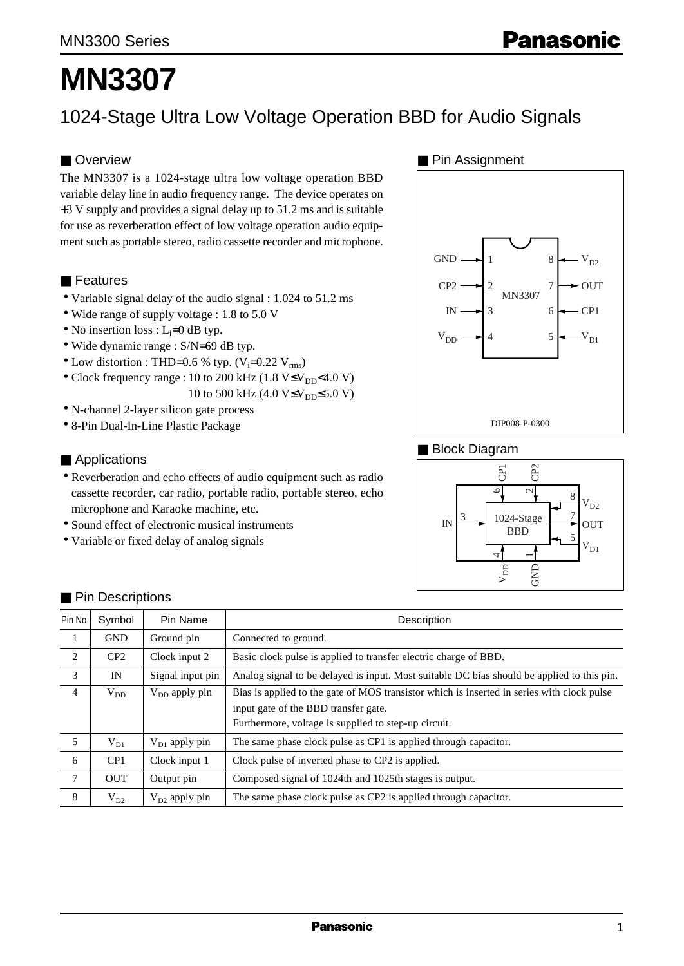# **MN3307**

# 1024-Stage Ultra Low Voltage Operation BBD for Audio Signals

#### ■ Overview

The MN3307 is a 1024-stage ultra low voltage operation BBD variable delay line in audio frequency range. The device operates on +3 V supply and provides a signal delay up to 51.2 ms and is suitable for use as reverberation effect of low voltage operation audio equipment such as portable stereo, radio cassette recorder and microphone.

#### ■ Features

- Variable signal delay of the audio signal : 1.024 to 51.2 ms
- Wide range of supply voltage : 1.8 to 5.0 V
- No insertion loss :  $L_i=0$  dB typ.
- Wide dynamic range : S/N=69 dB typ.
- Low distortion : THD=0.6 % typ.  $(V_i=0.22 V_{rms})$
- Clock frequency range : 10 to 200 kHz (1.8 V≤V<sub>DD</sub><4.0 V)
	- 10 to 500 kHz (4.0  $V \leq V_{DD} \leq 5.0 V$ )
- N-channel 2-layer silicon gate process
- 8-Pin Dual-In-Line Plastic Package

#### ■ Applications

- Reverberation and echo effects of audio equipment such as radio cassette recorder, car radio, portable radio, portable stereo, echo microphone and Karaoke machine, etc.
- Sound effect of electronic musical instruments
- Variable or fixed delay of analog signals

#### ■ Pin Assignment



#### ■ Block Diagram



| Pin No.        | Symbol     | Pin Name           | Description                                                                                |
|----------------|------------|--------------------|--------------------------------------------------------------------------------------------|
| 1              | <b>GND</b> | Ground pin         | Connected to ground.                                                                       |
| $\overline{2}$ | CP2        | Clock input 2      | Basic clock pulse is applied to transfer electric charge of BBD.                           |
| 3              | IN         | Signal input pin   | Analog signal to be delayed is input. Most suitable DC bias should be applied to this pin. |
| $\overline{4}$ | $V_{DD}$   | $V_{DD}$ apply pin | Bias is applied to the gate of MOS transistor which is inserted in series with clock pulse |
|                |            |                    | input gate of the BBD transfer gate.                                                       |
|                |            |                    | Furthermore, voltage is supplied to step-up circuit.                                       |
| 5              | $V_{D1}$   | $V_{D1}$ apply pin | The same phase clock pulse as CP1 is applied through capacitor.                            |
| 6              | CP1        | Clock input 1      | Clock pulse of inverted phase to CP2 is applied.                                           |
| $\tau$         | <b>OUT</b> | Output pin         | Composed signal of 1024th and 1025th stages is output.                                     |
| 8              | $V_{D2}$   | $V_{D2}$ apply pin | The same phase clock pulse as CP2 is applied through capacitor.                            |

#### ■ Pin Descriptions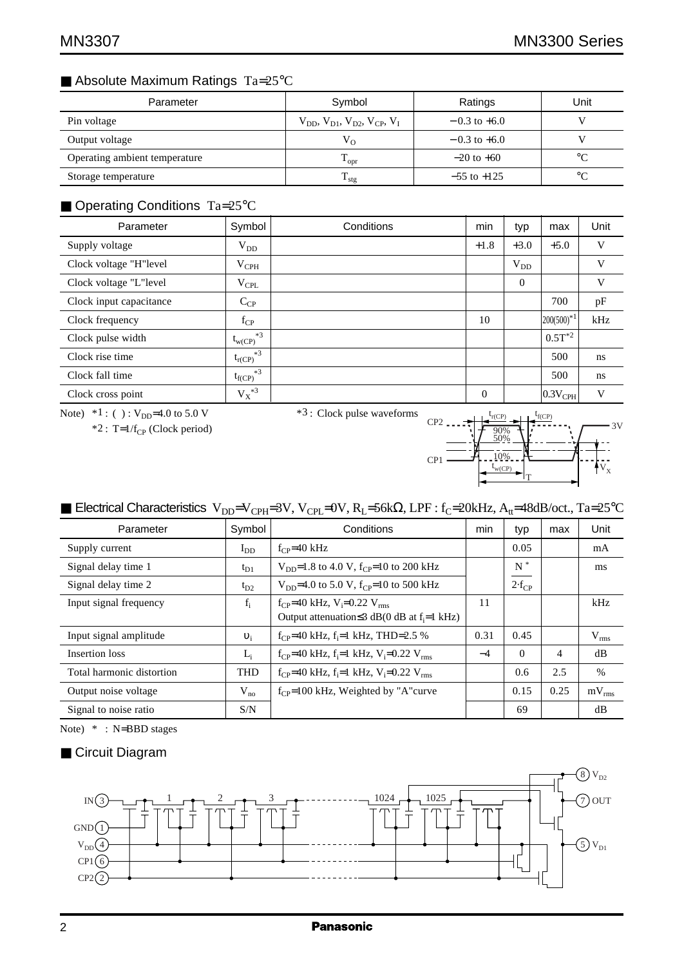# ■ Absolute Maximum Ratings Ta=25°C

| Parameter                     | Symbol                                              | Ratings          | Unit        |
|-------------------------------|-----------------------------------------------------|------------------|-------------|
| Pin voltage                   | $V_{DD}$ , $V_{D1}$ , $V_{D2}$ , $V_{CP}$ , $V_{L}$ | $-0.3$ to $+6.0$ |             |
| Output voltage                | $V_{O}$                                             | $-0.3$ to $+6.0$ |             |
| Operating ambient temperature | $\rm T_{\rm opr}$                                   | $-20$ to $+60$   | $^{\circ}C$ |
| Storage temperature           | $T_{\text{stg}}$                                    | $-55$ to $+125$  | $^{\circ}C$ |

# ■ Operating Conditions Ta=25°C

| Parameter               | Symbol              | Conditions | min      | typ      | max                   | Unit |
|-------------------------|---------------------|------------|----------|----------|-----------------------|------|
| Supply voltage          | $V_{DD}$            |            | $+1.8$   | $+3.0$   | $+5.0$                | V    |
| Clock voltage "H"level  | $V_{\rm{CPH}}$      |            |          | $V_{DD}$ |                       | V    |
| Clock voltage "L"level  | $V_{\rm CPL}$       |            |          | $\Omega$ |                       | V    |
| Clock input capacitance | $C_{CP}$            |            |          |          | 700                   | pF   |
| Clock frequency         | $f_{CP}$            |            | 10       |          | $ 200(500)^{*1} $     | kHz  |
| Clock pulse width       | $*3$<br>$t_{w(CP)}$ |            |          |          | $0.5T^{*2}$           |      |
| Clock rise time         | $*3$<br>$t_{r(CP)}$ |            |          |          | 500                   | ns   |
| Clock fall time         | $*3$<br>$t_{f(CP)}$ |            |          |          | 500                   | ns   |
| Clock cross point       | $\mathbf{V_X}^{*3}$ |            | $\theta$ |          | $ 0.3V_{\text{CPH}} $ | V    |

Note)  $*1$  : ( ) :  $V_{DD}$ =4.0 to 5.0 V

 $*2$ : T=1/f<sub>CP</sub> (Clock period)

\*3 : Clock pulse waveforms

 $V_{X}$ 3V t  $t_{r(CP)}$   $t_{f(CP)}$ CP<sub>2</sub>  $CP1$ w(CP) 90% 50% 10% T

# ■ Electrical Characteristics V<sub>DD</sub>=V<sub>CPH</sub>=3V, V<sub>CPL</sub>=0V, R<sub>L</sub>=56kΩ, LPF : f<sub>C</sub>=20kHz, A<sub>tt</sub>=48dB/oct., Ta=25°C

| Parameter                 | Symbol     | Conditions                                                                     | min  | typ              | max  | Unit       |
|---------------------------|------------|--------------------------------------------------------------------------------|------|------------------|------|------------|
| Supply current            | $I_{DD}$   | $f_{CP} = 40$ kHz                                                              |      | 0.05             |      | mA         |
| Signal delay time 1       | $t_{D1}$   | $V_{\text{DD}}=1.8$ to 4.0 V, f <sub>CP</sub> =10 to 200 kHz                   |      | $N^*$            |      | ms         |
| Signal delay time 2       | $t_{D2}$   | $V_{DD}$ =4.0 to 5.0 V, f <sub>CP</sub> =10 to 500 kHz                         |      | $2 \cdot f_{CP}$ |      |            |
| Input signal frequency    | $f_i$      | $f_{CP}$ =40 kHz, V <sub>i</sub> =0.22 V <sub>rms</sub>                        | 11   |                  |      | kHz        |
|                           |            | Output attenuation $\leq$ 3 dB(0 dB at f <sub>i</sub> =1 kHz)                  |      |                  |      |            |
| Input signal amplitude    | $v_i$      | $f_{CP}$ =40 kHz, $f_i$ =1 kHz, THD=2.5 %                                      | 0.31 | 0.45             |      | $V_{rms}$  |
| Insertion loss            | $L_i$      | $f_{CP}$ =40 kHz, f <sub>i</sub> =1 kHz, V <sub>i</sub> =0.22 V <sub>rms</sub> | $-4$ | $\Omega$         | 4    | dB         |
| Total harmonic distortion | <b>THD</b> | $f_{CP}$ =40 kHz, $f_i$ =1 kHz, $V_i$ =0.22 $V_{rms}$                          |      | 0.6              | 2.5  | $\%$       |
| Output noise voltage      | $V_{no}$   | $f_{CP}$ =100 kHz, Weighted by "A" curve                                       |      | 0.15             | 0.25 | $mV_{rms}$ |
| Signal to noise ratio     | S/N        |                                                                                |      | 69               |      | dB         |

Note) \* : N=BBD stages

#### ■ Circuit Diagram

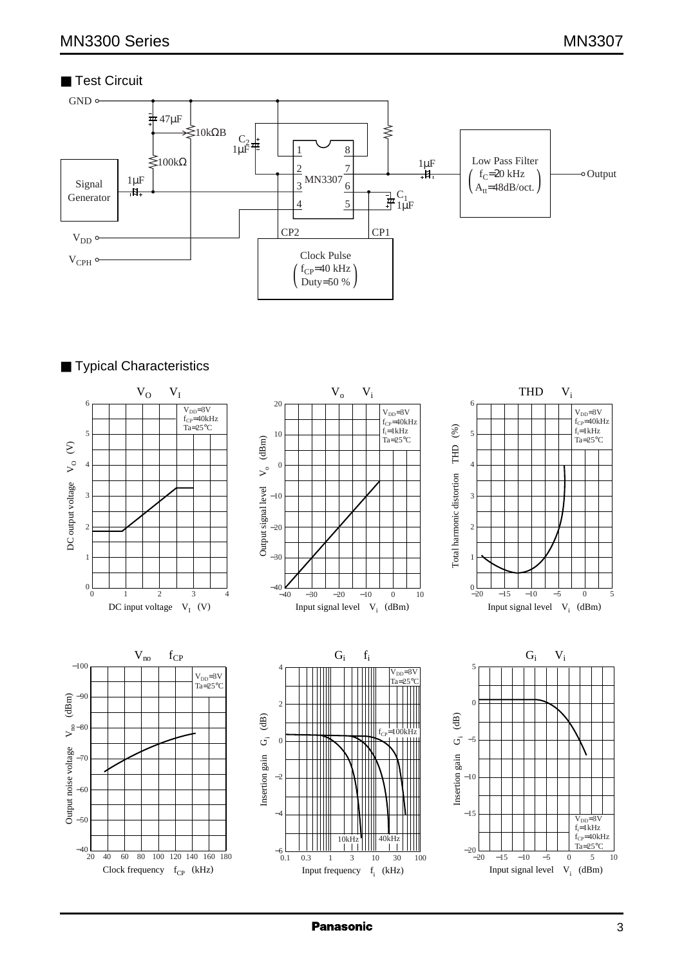# ■ Test Circuit



# ■ Typical Characteristics



**Panasonic**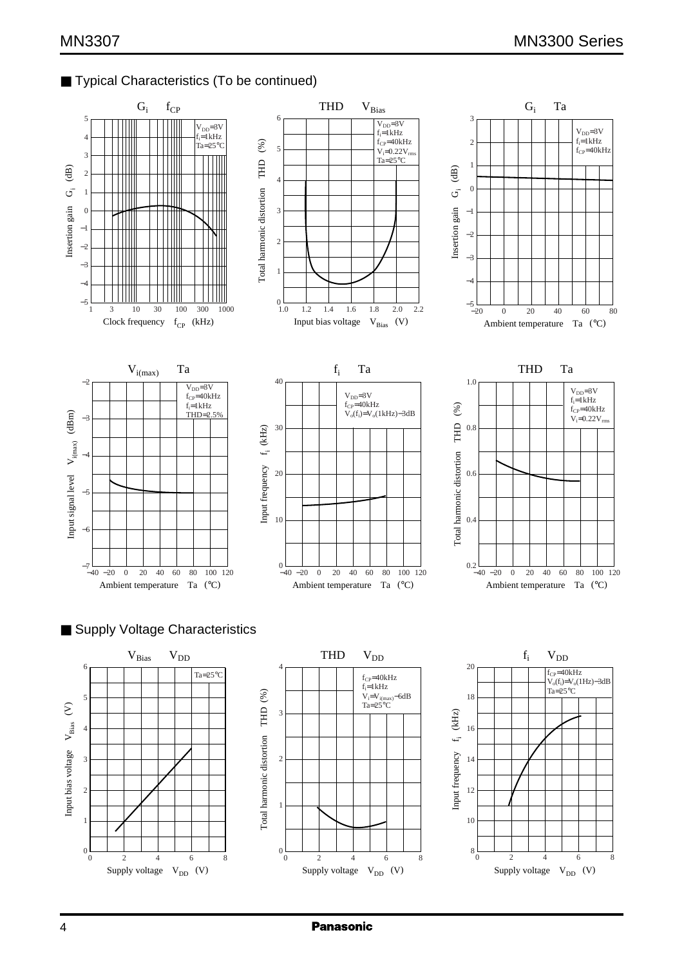## ■ Typical Characteristics (To be continued)